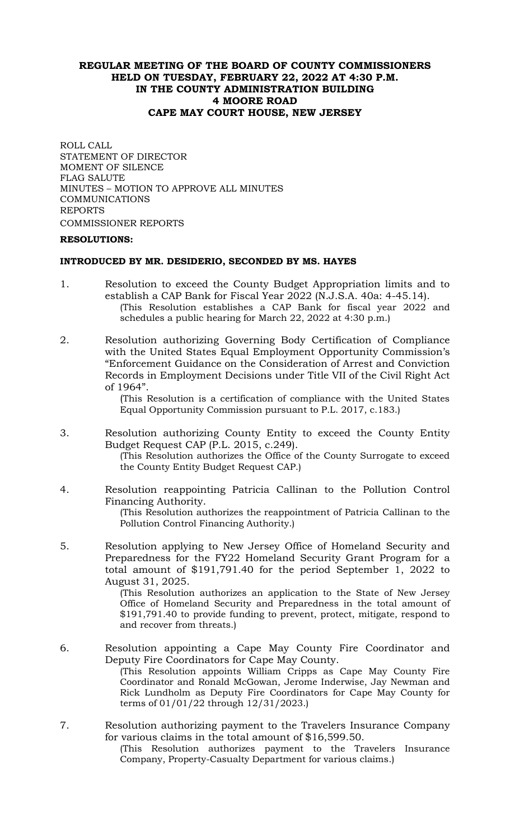# **REGULAR MEETING OF THE BOARD OF COUNTY COMMISSIONERS HELD ON TUESDAY, FEBRUARY 22, 2022 AT 4:30 P.M. IN THE COUNTY ADMINISTRATION BUILDING 4 MOORE ROAD CAPE MAY COURT HOUSE, NEW JERSEY**

ROLL CALL STATEMENT OF DIRECTOR MOMENT OF SILENCE FLAG SALUTE MINUTES – MOTION TO APPROVE ALL MINUTES COMMUNICATIONS REPORTS COMMISSIONER REPORTS

#### **RESOLUTIONS:**

# **INTRODUCED BY MR. DESIDERIO, SECONDED BY MS. HAYES**

- 1. Resolution to exceed the County Budget Appropriation limits and to establish a CAP Bank for Fiscal Year 2022 (N.J.S.A. 40a: 4-45.14). (This Resolution establishes a CAP Bank for fiscal year 2022 and schedules a public hearing for March 22, 2022 at 4:30 p.m.)
- 2. Resolution authorizing Governing Body Certification of Compliance with the United States Equal Employment Opportunity Commission's "Enforcement Guidance on the Consideration of Arrest and Conviction Records in Employment Decisions under Title VII of the Civil Right Act of 1964".

(This Resolution is a certification of compliance with the United States Equal Opportunity Commission pursuant to P.L. 2017, c.183.)

- 3. Resolution authorizing County Entity to exceed the County Entity Budget Request CAP (P.L. 2015, c.249). (This Resolution authorizes the Office of the County Surrogate to exceed the County Entity Budget Request CAP.)
- 4. Resolution reappointing Patricia Callinan to the Pollution Control Financing Authority. (This Resolution authorizes the reappointment of Patricia Callinan to the Pollution Control Financing Authority.)
- 5. Resolution applying to New Jersey Office of Homeland Security and Preparedness for the FY22 Homeland Security Grant Program for a total amount of \$191,791.40 for the period September 1, 2022 to August 31, 2025.

(This Resolution authorizes an application to the State of New Jersey Office of Homeland Security and Preparedness in the total amount of \$191,791.40 to provide funding to prevent, protect, mitigate, respond to and recover from threats.)

- 6. Resolution appointing a Cape May County Fire Coordinator and Deputy Fire Coordinators for Cape May County. (This Resolution appoints William Cripps as Cape May County Fire Coordinator and Ronald McGowan, Jerome Inderwise, Jay Newman and Rick Lundholm as Deputy Fire Coordinators for Cape May County for terms of 01/01/22 through 12/31/2023.)
- 7. Resolution authorizing payment to the Travelers Insurance Company for various claims in the total amount of \$16,599.50.

(This Resolution authorizes payment to the Travelers Insurance Company, Property-Casualty Department for various claims.)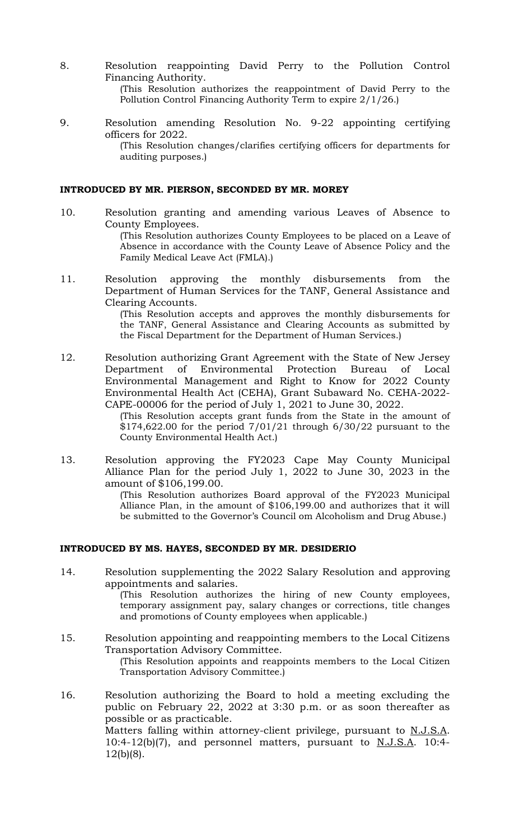- 8. Resolution reappointing David Perry to the Pollution Control Financing Authority. (This Resolution authorizes the reappointment of David Perry to the Pollution Control Financing Authority Term to expire 2/1/26.)
- 9. Resolution amending Resolution No. 9-22 appointing certifying officers for 2022. (This Resolution changes/clarifies certifying officers for departments for auditing purposes.)

#### **INTRODUCED BY MR. PIERSON, SECONDED BY MR. MOREY**

- 10. Resolution granting and amending various Leaves of Absence to County Employees. (This Resolution authorizes County Employees to be placed on a Leave of Absence in accordance with the County Leave of Absence Policy and the Family Medical Leave Act (FMLA).)
- 11. Resolution approving the monthly disbursements from the Department of Human Services for the TANF, General Assistance and Clearing Accounts.

(This Resolution accepts and approves the monthly disbursements for the TANF, General Assistance and Clearing Accounts as submitted by the Fiscal Department for the Department of Human Services.)

12. Resolution authorizing Grant Agreement with the State of New Jersey Department of Environmental Protection Bureau of Local Environmental Management and Right to Know for 2022 County Environmental Health Act (CEHA), Grant Subaward No. CEHA-2022- CAPE-00006 for the period of July 1, 2021 to June 30, 2022.

(This Resolution accepts grant funds from the State in the amount of  $$174,622.00$  for the period  $7/01/21$  through  $6/30/22$  pursuant to the County Environmental Health Act.)

13. Resolution approving the FY2023 Cape May County Municipal Alliance Plan for the period July 1, 2022 to June 30, 2023 in the amount of \$106,199.00.

(This Resolution authorizes Board approval of the FY2023 Municipal Alliance Plan, in the amount of \$106,199.00 and authorizes that it will be submitted to the Governor's Council om Alcoholism and Drug Abuse.)

## **INTRODUCED BY MS. HAYES, SECONDED BY MR. DESIDERIO**

14. Resolution supplementing the 2022 Salary Resolution and approving appointments and salaries. (This Resolution authorizes the hiring of new County employees,

temporary assignment pay, salary changes or corrections, title changes and promotions of County employees when applicable.)

- 15. Resolution appointing and reappointing members to the Local Citizens Transportation Advisory Committee. (This Resolution appoints and reappoints members to the Local Citizen Transportation Advisory Committee.)
- 16. Resolution authorizing the Board to hold a meeting excluding the public on February 22, 2022 at 3:30 p.m. or as soon thereafter as possible or as practicable. Matters falling within attorney-client privilege, pursuant to N.J.S.A. 10:4-12(b)(7), and personnel matters, pursuant to N.J.S.A. 10:4- 12(b)(8).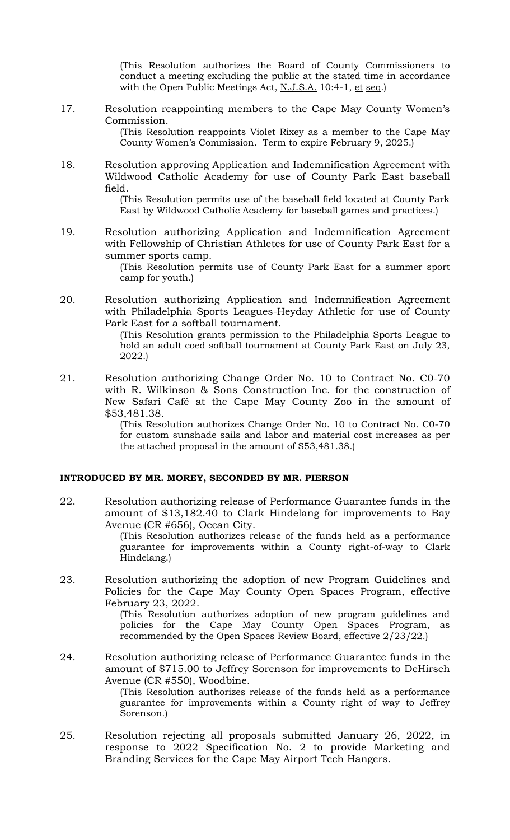(This Resolution authorizes the Board of County Commissioners to conduct a meeting excluding the public at the stated time in accordance with the Open Public Meetings Act, N.J.S.A. 10:4-1, et seq.)

17. Resolution reappointing members to the Cape May County Women's Commission.

(This Resolution reappoints Violet Rixey as a member to the Cape May County Women's Commission. Term to expire February 9, 2025.)

18. Resolution approving Application and Indemnification Agreement with Wildwood Catholic Academy for use of County Park East baseball field.

(This Resolution permits use of the baseball field located at County Park East by Wildwood Catholic Academy for baseball games and practices.)

19. Resolution authorizing Application and Indemnification Agreement with Fellowship of Christian Athletes for use of County Park East for a summer sports camp.

> (This Resolution permits use of County Park East for a summer sport camp for youth.)

20. Resolution authorizing Application and Indemnification Agreement with Philadelphia Sports Leagues-Heyday Athletic for use of County Park East for a softball tournament.

(This Resolution grants permission to the Philadelphia Sports League to hold an adult coed softball tournament at County Park East on July 23, 2022.)

21. Resolution authorizing Change Order No. 10 to Contract No. C0-70 with R. Wilkinson & Sons Construction Inc. for the construction of New Safari Café at the Cape May County Zoo in the amount of \$53,481.38.

> (This Resolution authorizes Change Order No. 10 to Contract No. C0-70 for custom sunshade sails and labor and material cost increases as per the attached proposal in the amount of \$53,481.38.)

#### **INTRODUCED BY MR. MOREY, SECONDED BY MR. PIERSON**

22. Resolution authorizing release of Performance Guarantee funds in the amount of \$13,182.40 to Clark Hindelang for improvements to Bay Avenue (CR #656), Ocean City.

> (This Resolution authorizes release of the funds held as a performance guarantee for improvements within a County right-of-way to Clark Hindelang.)

23. Resolution authorizing the adoption of new Program Guidelines and Policies for the Cape May County Open Spaces Program, effective February 23, 2022.

(This Resolution authorizes adoption of new program guidelines and policies for the Cape May County Open Spaces Program, as recommended by the Open Spaces Review Board, effective 2/23/22.)

24. Resolution authorizing release of Performance Guarantee funds in the amount of \$715.00 to Jeffrey Sorenson for improvements to DeHirsch Avenue (CR #550), Woodbine.

(This Resolution authorizes release of the funds held as a performance guarantee for improvements within a County right of way to Jeffrey Sorenson.)

25. Resolution rejecting all proposals submitted January 26, 2022, in response to 2022 Specification No. 2 to provide Marketing and Branding Services for the Cape May Airport Tech Hangers.